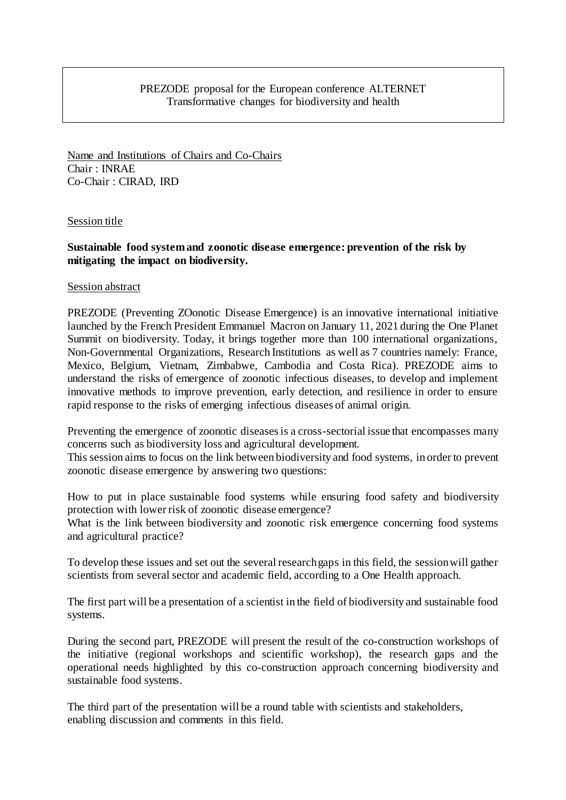## PREZODE proposal for the European conference ALTERNET Transformative changes for biodiversity and health

Name and Institutions of Chairs and Co-Chairs Chair : INRAE Co-Chair : CIRAD, IRD

### Session title

# **Sustainable food system and zoonotic disease emergence: prevention of the risk by mitigating the impact on biodiversity.**

### Session abstract

PREZODE (Preventing ZOonotic Disease Emergence) is an innovative international initiative launched by the French President Emmanuel Macron on January 11, 2021 during the One Planet Summit on biodiversity. Today, it brings together more than 100 international organizations, Non-Governmental Organizations, Research Institutions as well as 7 countries namely: France, Mexico, Belgium, Vietnam, Zimbabwe, Cambodia and Costa Rica). PREZODE aims to understand the risks of emergence of zoonotic infectious diseases, to develop and implement innovative methods to improve prevention, early detection, and resilience in order to ensure rapid response to the risks of emerging infectious diseases of animal origin.

Preventing the emergence of zoonotic diseases is a cross-sectorial issue that encompasses many concerns such as biodiversity loss and agricultural development.

This session aims to focus on the link between biodiversity and food systems, in order to prevent zoonotic disease emergence by answering two questions:

How to put in place sustainable food systems while ensuring food safety and biodiversity protection with lower risk of zoonotic disease emergence?

What is the link between biodiversity and zoonotic risk emergence concerning food systems and agricultural practice?

To develop these issues and set out the several research gaps in this field, the session will gather scientists from several sector and academic field, according to a One Health approach.

The first part will be a presentation of a scientist in the field of biodiversity and sustainable food systems.

During the second part, PREZODE will present the result of the co-construction workshops of the initiative (regional workshops and scientific workshop), the research gaps and the operational needs highlighted by this co-construction approach concerning biodiversity and sustainable food systems.

The third part of the presentation will be a round table with scientists and stakeholders, enabling discussion and comments in this field.